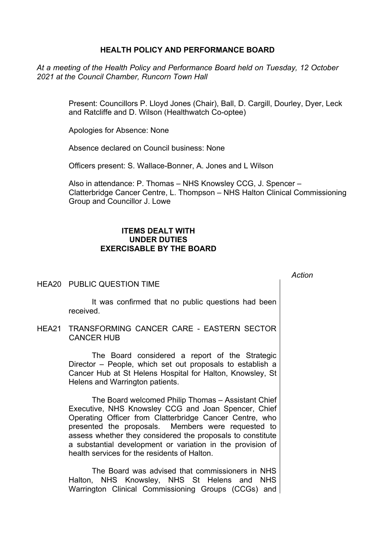## **HEALTH POLICY AND PERFORMANCE BOARD**

*At a meeting of the Health Policy and Performance Board held on Tuesday, 12 October 2021 at the Council Chamber, Runcorn Town Hall*

> Present: Councillors P. Lloyd Jones (Chair), Ball, D. Cargill, Dourley, Dyer, Leck and Ratcliffe and D. Wilson (Healthwatch Co-optee)

Apologies for Absence: None

Absence declared on Council business: None

Officers present: S. Wallace-Bonner, A. Jones and L Wilson

Also in attendance: P. Thomas – NHS Knowsley CCG, J. Spencer – Clatterbridge Cancer Centre, L. Thompson – NHS Halton Clinical Commissioning Group and Councillor J. Lowe

*Action*

## **ITEMS DEALT WITH UNDER DUTIES EXERCISABLE BY THE BOARD**

## HEA20 PUBLIC QUESTION TIME

It was confirmed that no public questions had been received.

HEA21 TRANSFORMING CANCER CARE - EASTERN SECTOR CANCER HUB

> The Board considered a report of the Strategic Director – People, which set out proposals to establish a Cancer Hub at St Helens Hospital for Halton, Knowsley, St Helens and Warrington patients.

> The Board welcomed Philip Thomas – Assistant Chief Executive, NHS Knowsley CCG and Joan Spencer, Chief Operating Officer from Clatterbridge Cancer Centre, who presented the proposals. Members were requested to assess whether they considered the proposals to constitute a substantial development or variation in the provision of health services for the residents of Halton.

> The Board was advised that commissioners in NHS Halton, NHS Knowsley, NHS St Helens and NHS Warrington Clinical Commissioning Groups (CCGs) and